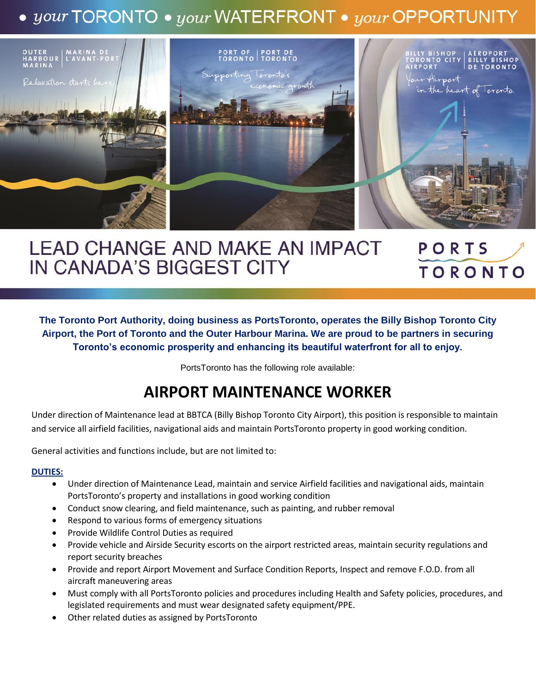# • your TORONTO • your WATERFRONT • your OPPORTUNITY



## **LEAD CHANGE AND MAKE AN IMPACT** PORTS IN CANADA'S BIGGEST CITY **TORONTO**

**The Toronto Port Authority, doing business as PortsToronto, operates the Billy Bishop Toronto City Airport, the Port of Toronto and the Outer Harbour Marina. We are proud to be partners in securing Toronto's economic prosperity and enhancing its beautiful waterfront for all to enjoy.**

PortsToronto has the following role available:

# **AIRPORT MAINTENANCE WORKER**

Under direction of Maintenance lead at BBTCA (Billy Bishop Toronto City Airport), this position is responsible to maintain and service all airfield facilities, navigational aids and maintain PortsToronto property in good working condition.

General activities and functions include, but are not limited to:

### **DUTIES:**

- Under direction of Maintenance Lead, maintain and service Airfield facilities and navigational aids, maintain PortsToronto's property and installations in good working condition
- Conduct snow clearing, and field maintenance, such as painting, and rubber removal
- Respond to various forms of emergency situations
- Provide Wildlife Control Duties as required
- Provide vehicle and Airside Security escorts on the airport restricted areas, maintain security regulations and report security breaches
- Provide and report Airport Movement and Surface Condition Reports, Inspect and remove F.O.D. from all aircraft maneuvering areas
- Must comply with all PortsToronto policies and procedures including Health and Safety policies, procedures, and legislated requirements and must wear designated safety equipment/PPE.
- Other related duties as assigned by PortsToronto